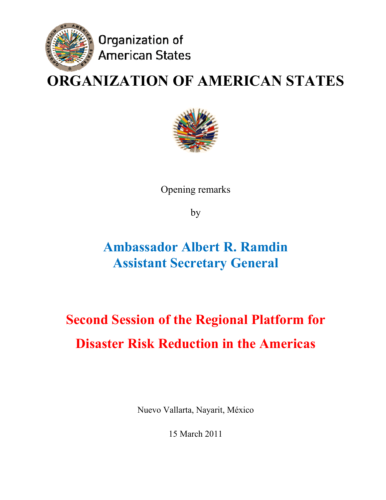

ORGANIZATION OF AMERICAN STATES



Opening remarks

by

## Ambassador Albert R. Ramdin Assistant Secretary General

## Second Session of the Regional Platform for Disaster Risk Reduction in the Americas

Nuevo Vallarta, Nayarit, México

15 March 2011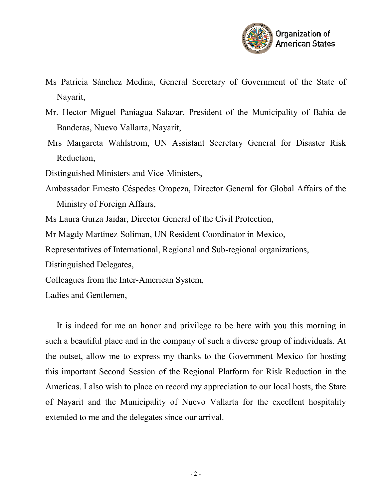

- Ms Patricia Sánchez Medina, General Secretary of Government of the State of Nayarit,
- Mr. Hector Miguel Paniagua Salazar, President of the Municipality of Bahia de Banderas, Nuevo Vallarta, Nayarit,
- Mrs Margareta Wahlstrom, UN Assistant Secretary General for Disaster Risk Reduction,
- Distinguished Ministers and Vice-Ministers,
- Ambassador Ernesto Céspedes Oropeza, Director General for Global Affairs of the Ministry of Foreign Affairs,
- Ms Laura Gurza Jaidar, Director General of the Civil Protection,
- Mr Magdy Martinez-Soliman, UN Resident Coordinator in Mexico,
- Representatives of International, Regional and Sub-regional organizations,
- Distinguished Delegates,
- Colleagues from the Inter-American System,
- Ladies and Gentlemen,

It is indeed for me an honor and privilege to be here with you this morning in such a beautiful place and in the company of such a diverse group of individuals. At the outset, allow me to express my thanks to the Government Mexico for hosting this important Second Session of the Regional Platform for Risk Reduction in the Americas. I also wish to place on record my appreciation to our local hosts, the State of Nayarit and the Municipality of Nuevo Vallarta for the excellent hospitality extended to me and the delegates since our arrival.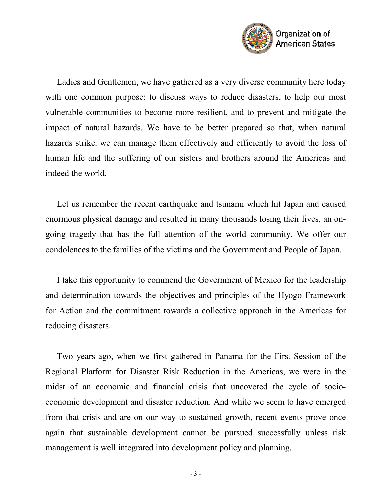

Ladies and Gentlemen, we have gathered as a very diverse community here today with one common purpose: to discuss ways to reduce disasters, to help our most vulnerable communities to become more resilient, and to prevent and mitigate the impact of natural hazards. We have to be better prepared so that, when natural hazards strike, we can manage them effectively and efficiently to avoid the loss of human life and the suffering of our sisters and brothers around the Americas and indeed the world.

Let us remember the recent earthquake and tsunami which hit Japan and caused enormous physical damage and resulted in many thousands losing their lives, an ongoing tragedy that has the full attention of the world community. We offer our condolences to the families of the victims and the Government and People of Japan.

I take this opportunity to commend the Government of Mexico for the leadership and determination towards the objectives and principles of the Hyogo Framework for Action and the commitment towards a collective approach in the Americas for reducing disasters.

Two years ago, when we first gathered in Panama for the First Session of the Regional Platform for Disaster Risk Reduction in the Americas, we were in the midst of an economic and financial crisis that uncovered the cycle of socioeconomic development and disaster reduction. And while we seem to have emerged from that crisis and are on our way to sustained growth, recent events prove once again that sustainable development cannot be pursued successfully unless risk management is well integrated into development policy and planning.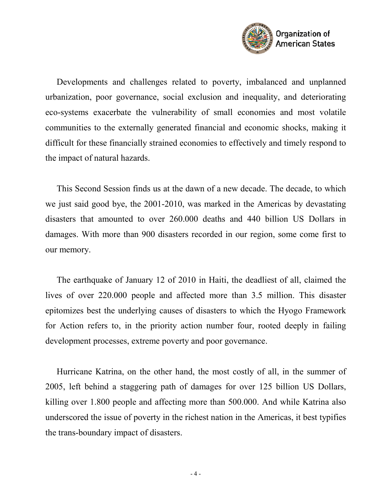

Developments and challenges related to poverty, imbalanced and unplanned urbanization, poor governance, social exclusion and inequality, and deteriorating eco-systems exacerbate the vulnerability of small economies and most volatile communities to the externally generated financial and economic shocks, making it difficult for these financially strained economies to effectively and timely respond to the impact of natural hazards.

This Second Session finds us at the dawn of a new decade. The decade, to which we just said good bye, the 2001-2010, was marked in the Americas by devastating disasters that amounted to over 260.000 deaths and 440 billion US Dollars in damages. With more than 900 disasters recorded in our region, some come first to our memory.

The earthquake of January 12 of 2010 in Haiti, the deadliest of all, claimed the lives of over 220.000 people and affected more than 3.5 million. This disaster epitomizes best the underlying causes of disasters to which the Hyogo Framework for Action refers to, in the priority action number four, rooted deeply in failing development processes, extreme poverty and poor governance.

Hurricane Katrina, on the other hand, the most costly of all, in the summer of 2005, left behind a staggering path of damages for over 125 billion US Dollars, killing over 1.800 people and affecting more than 500.000. And while Katrina also underscored the issue of poverty in the richest nation in the Americas, it best typifies the trans-boundary impact of disasters.

 $-4-$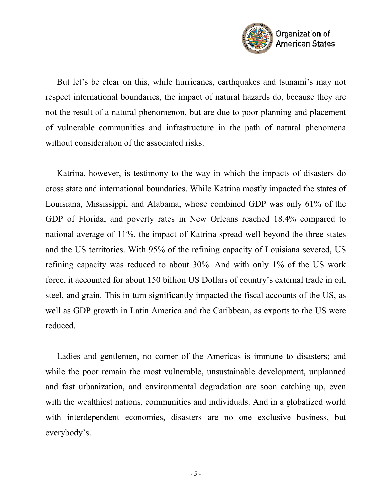

But let's be clear on this, while hurricanes, earthquakes and tsunami's may not respect international boundaries, the impact of natural hazards do, because they are not the result of a natural phenomenon, but are due to poor planning and placement of vulnerable communities and infrastructure in the path of natural phenomena without consideration of the associated risks.

Katrina, however, is testimony to the way in which the impacts of disasters do cross state and international boundaries. While Katrina mostly impacted the states of Louisiana, Mississippi, and Alabama, whose combined GDP was only 61% of the GDP of Florida, and poverty rates in New Orleans reached 18.4% compared to national average of 11%, the impact of Katrina spread well beyond the three states and the US territories. With 95% of the refining capacity of Louisiana severed, US refining capacity was reduced to about 30%. And with only 1% of the US work force, it accounted for about 150 billion US Dollars of country's external trade in oil, steel, and grain. This in turn significantly impacted the fiscal accounts of the US, as well as GDP growth in Latin America and the Caribbean, as exports to the US were reduced.

Ladies and gentlemen, no corner of the Americas is immune to disasters; and while the poor remain the most vulnerable, unsustainable development, unplanned and fast urbanization, and environmental degradation are soon catching up, even with the wealthiest nations, communities and individuals. And in a globalized world with interdependent economies, disasters are no one exclusive business, but everybody's.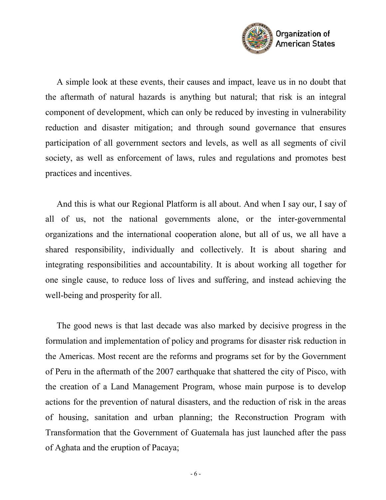

A simple look at these events, their causes and impact, leave us in no doubt that the aftermath of natural hazards is anything but natural; that risk is an integral component of development, which can only be reduced by investing in vulnerability reduction and disaster mitigation; and through sound governance that ensures participation of all government sectors and levels, as well as all segments of civil society, as well as enforcement of laws, rules and regulations and promotes best practices and incentives.

And this is what our Regional Platform is all about. And when I say our, I say of all of us, not the national governments alone, or the inter-governmental organizations and the international cooperation alone, but all of us, we all have a shared responsibility, individually and collectively. It is about sharing and integrating responsibilities and accountability. It is about working all together for one single cause, to reduce loss of lives and suffering, and instead achieving the well-being and prosperity for all.

The good news is that last decade was also marked by decisive progress in the formulation and implementation of policy and programs for disaster risk reduction in the Americas. Most recent are the reforms and programs set for by the Government of Peru in the aftermath of the 2007 earthquake that shattered the city of Pisco, with the creation of a Land Management Program, whose main purpose is to develop actions for the prevention of natural disasters, and the reduction of risk in the areas of housing, sanitation and urban planning; the Reconstruction Program with Transformation that the Government of Guatemala has just launched after the pass of Aghata and the eruption of Pacaya;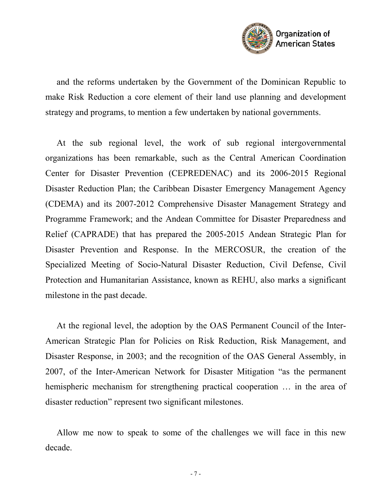

and the reforms undertaken by the Government of the Dominican Republic to make Risk Reduction a core element of their land use planning and development strategy and programs, to mention a few undertaken by national governments.

At the sub regional level, the work of sub regional intergovernmental organizations has been remarkable, such as the Central American Coordination Center for Disaster Prevention (CEPREDENAC) and its 2006-2015 Regional Disaster Reduction Plan; the Caribbean Disaster Emergency Management Agency (CDEMA) and its 2007-2012 Comprehensive Disaster Management Strategy and Programme Framework; and the Andean Committee for Disaster Preparedness and Relief (CAPRADE) that has prepared the 2005-2015 Andean Strategic Plan for Disaster Prevention and Response. In the MERCOSUR, the creation of the Specialized Meeting of Socio-Natural Disaster Reduction, Civil Defense, Civil Protection and Humanitarian Assistance, known as REHU, also marks a significant milestone in the past decade.

At the regional level, the adoption by the OAS Permanent Council of the Inter-American Strategic Plan for Policies on Risk Reduction, Risk Management, and Disaster Response, in 2003; and the recognition of the OAS General Assembly, in 2007, of the Inter-American Network for Disaster Mitigation "as the permanent hemispheric mechanism for strengthening practical cooperation … in the area of disaster reduction" represent two significant milestones.

Allow me now to speak to some of the challenges we will face in this new decade.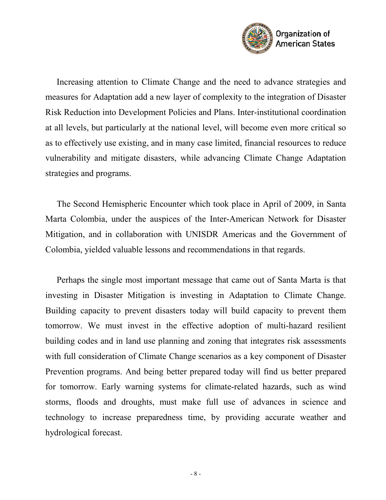

Increasing attention to Climate Change and the need to advance strategies and measures for Adaptation add a new layer of complexity to the integration of Disaster Risk Reduction into Development Policies and Plans. Inter-institutional coordination at all levels, but particularly at the national level, will become even more critical so as to effectively use existing, and in many case limited, financial resources to reduce vulnerability and mitigate disasters, while advancing Climate Change Adaptation strategies and programs.

The Second Hemispheric Encounter which took place in April of 2009, in Santa Marta Colombia, under the auspices of the Inter-American Network for Disaster Mitigation, and in collaboration with UNISDR Americas and the Government of Colombia, yielded valuable lessons and recommendations in that regards.

Perhaps the single most important message that came out of Santa Marta is that investing in Disaster Mitigation is investing in Adaptation to Climate Change. Building capacity to prevent disasters today will build capacity to prevent them tomorrow. We must invest in the effective adoption of multi-hazard resilient building codes and in land use planning and zoning that integrates risk assessments with full consideration of Climate Change scenarios as a key component of Disaster Prevention programs. And being better prepared today will find us better prepared for tomorrow. Early warning systems for climate-related hazards, such as wind storms, floods and droughts, must make full use of advances in science and technology to increase preparedness time, by providing accurate weather and hydrological forecast.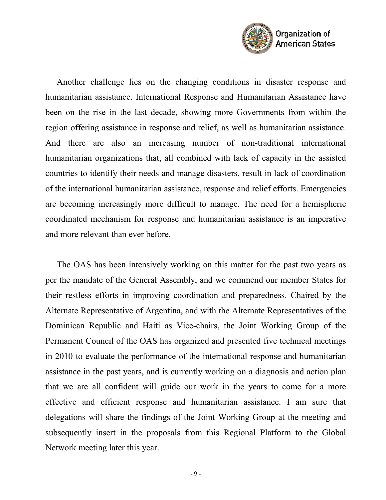

Another challenge lies on the changing conditions in disaster response and humanitarian assistance. International Response and Humanitarian Assistance have been on the rise in the last decade, showing more Governments from within the region offering assistance in response and relief, as well as humanitarian assistance. And there are also an increasing number of non-traditional international humanitarian organizations that, all combined with lack of capacity in the assisted countries to identify their needs and manage disasters, result in lack of coordination of the international humanitarian assistance, response and relief efforts. Emergencies are becoming increasingly more difficult to manage. The need for a hemispheric coordinated mechanism for response and humanitarian assistance is an imperative and more relevant than ever before.

The OAS has been intensively working on this matter for the past two years as per the mandate of the General Assembly, and we commend our member States for their restless efforts in improving coordination and preparedness. Chaired by the Alternate Representative of Argentina, and with the Alternate Representatives of the Dominican Republic and Haiti as Vice-chairs, the Joint Working Group of the Permanent Council of the OAS has organized and presented five technical meetings in 2010 to evaluate the performance of the international response and humanitarian assistance in the past years, and is currently working on a diagnosis and action plan that we are all confident will guide our work in the years to come for a more effective and efficient response and humanitarian assistance. I am sure that delegations will share the findings of the Joint Working Group at the meeting and subsequently insert in the proposals from this Regional Platform to the Global Network meeting later this year.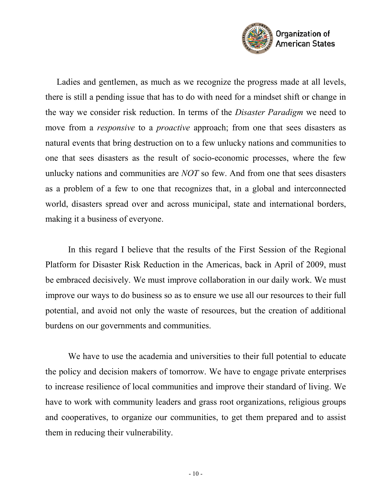

Ladies and gentlemen, as much as we recognize the progress made at all levels, there is still a pending issue that has to do with need for a mindset shift or change in the way we consider risk reduction. In terms of the Disaster Paradigm we need to move from a *responsive* to a *proactive* approach; from one that sees disasters as natural events that bring destruction on to a few unlucky nations and communities to one that sees disasters as the result of socio-economic processes, where the few unlucky nations and communities are NOT so few. And from one that sees disasters as a problem of a few to one that recognizes that, in a global and interconnected world, disasters spread over and across municipal, state and international borders, making it a business of everyone.

In this regard I believe that the results of the First Session of the Regional Platform for Disaster Risk Reduction in the Americas, back in April of 2009, must be embraced decisively. We must improve collaboration in our daily work. We must improve our ways to do business so as to ensure we use all our resources to their full potential, and avoid not only the waste of resources, but the creation of additional burdens on our governments and communities.

We have to use the academia and universities to their full potential to educate the policy and decision makers of tomorrow. We have to engage private enterprises to increase resilience of local communities and improve their standard of living. We have to work with community leaders and grass root organizations, religious groups and cooperatives, to organize our communities, to get them prepared and to assist them in reducing their vulnerability.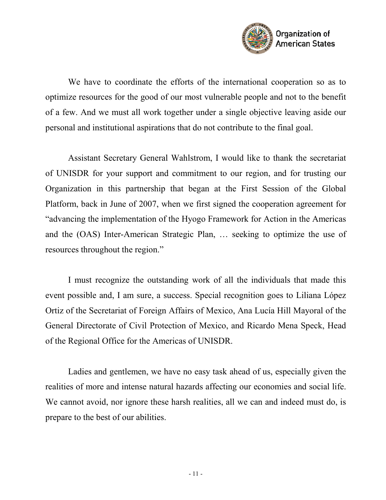

We have to coordinate the efforts of the international cooperation so as to optimize resources for the good of our most vulnerable people and not to the benefit of a few. And we must all work together under a single objective leaving aside our personal and institutional aspirations that do not contribute to the final goal.

Assistant Secretary General Wahlstrom, I would like to thank the secretariat of UNISDR for your support and commitment to our region, and for trusting our Organization in this partnership that began at the First Session of the Global Platform, back in June of 2007, when we first signed the cooperation agreement for "advancing the implementation of the Hyogo Framework for Action in the Americas and the (OAS) Inter-American Strategic Plan, … seeking to optimize the use of resources throughout the region."

I must recognize the outstanding work of all the individuals that made this event possible and, I am sure, a success. Special recognition goes to Liliana López Ortiz of the Secretariat of Foreign Affairs of Mexico, Ana Lucía Hill Mayoral of the General Directorate of Civil Protection of Mexico, and Ricardo Mena Speck, Head of the Regional Office for the Americas of UNISDR.

Ladies and gentlemen, we have no easy task ahead of us, especially given the realities of more and intense natural hazards affecting our economies and social life. We cannot avoid, nor ignore these harsh realities, all we can and indeed must do, is prepare to the best of our abilities.